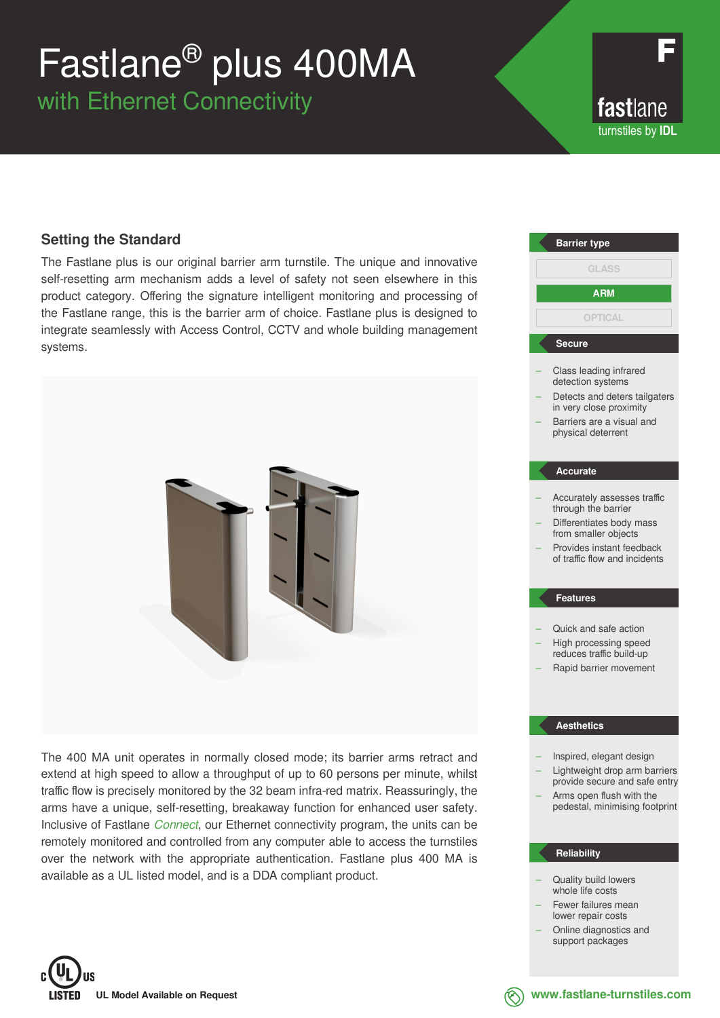# Fastlane® plus 400MA

with Ethernet Connectivity

fastlane turnstiles by **IDL**

### **Setting the Standard**

The Fastlane plus is our original barrier arm turnstile. The unique and innovative self-resetting arm mechanism adds a level of safety not seen elsewhere in this product category. Offering the signature intelligent monitoring and processing of the Fastlane range, this is the barrier arm of choice. Fastlane plus is designed to integrate seamlessly with Access Control, CCTV and whole building management systems.



The 400 MA unit operates in normally closed mode; its barrier arms retract and extend at high speed to allow a throughput of up to 60 persons per minute, whilst traffic flow is precisely monitored by the 32 beam infra-red matrix. Reassuringly, the arms have a unique, self-resetting, breakaway function for enhanced user safety. Inclusive of Fastlane *Connect*, our Ethernet connectivity program, the units can be remotely monitored and controlled from any computer able to access the turnstiles over the network with the appropriate authentication. Fastlane plus 400 MA is available as a UL listed model, and is a DDA compliant product.



### – Quality build lowers

- whole life costs Fewer failures mean lower repair costs
	- Online diagnostics and support packages



**www.fastlane-turnstiles.com**